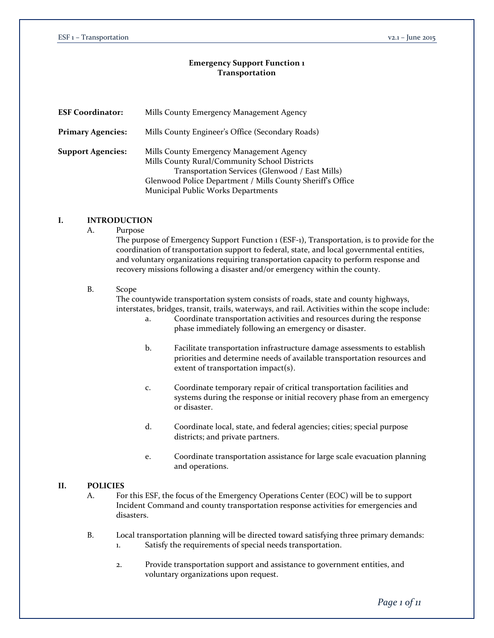#### **Emergency Support Function 1 Transportation**

| <b>ESF Coordinator:</b>  | Mills County Emergency Management Agency                                                                                                                                                                                                         |  |  |
|--------------------------|--------------------------------------------------------------------------------------------------------------------------------------------------------------------------------------------------------------------------------------------------|--|--|
| <b>Primary Agencies:</b> | Mills County Engineer's Office (Secondary Roads)                                                                                                                                                                                                 |  |  |
| <b>Support Agencies:</b> | Mills County Emergency Management Agency<br>Mills County Rural/Community School Districts<br>Transportation Services (Glenwood / East Mills)<br>Glenwood Police Department / Mills County Sheriff's Office<br>Municipal Public Works Departments |  |  |

## **I. INTRODUCTION**

A. Purpose

The purpose of Emergency Support Function 1 (ESF-1), Transportation, is to provide for the coordination of transportation support to federal, state, and local governmental entities, and voluntary organizations requiring transportation capacity to perform response and recovery missions following a disaster and/or emergency within the county.

#### B. Scope

The countywide transportation system consists of roads, state and county highways, interstates, bridges, transit, trails, waterways, and rail. Activities within the scope include:

- a. Coordinate transportation activities and resources during the response phase immediately following an emergency or disaster.
- b. Facilitate transportation infrastructure damage assessments to establish priorities and determine needs of available transportation resources and extent of transportation impact(s).
- c. Coordinate temporary repair of critical transportation facilities and systems during the response or initial recovery phase from an emergency or disaster.
- d. Coordinate local, state, and federal agencies; cities; special purpose districts; and private partners.
- e. Coordinate transportation assistance for large scale evacuation planning and operations.

#### **II. POLICIES**

- A. For this ESF, the focus of the Emergency Operations Center (EOC) will be to support Incident Command and county transportation response activities for emergencies and disasters.
- B. Local transportation planning will be directed toward satisfying three primary demands: 1. Satisfy the requirements of special needs transportation.
	- 2. Provide transportation support and assistance to government entities, and voluntary organizations upon request.

*Page 1 of 11*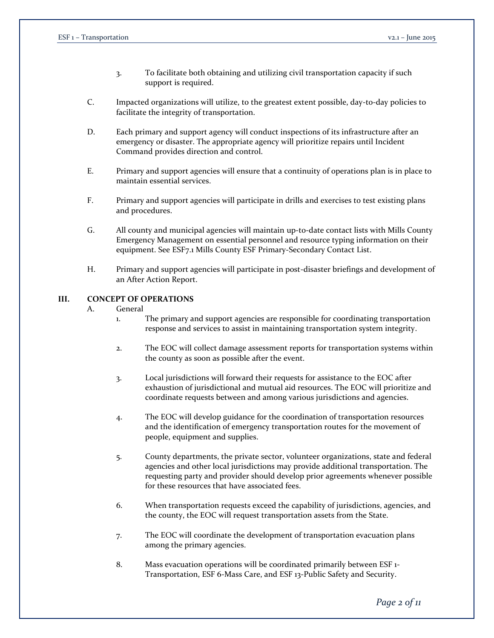- 3. To facilitate both obtaining and utilizing civil transportation capacity if such support is required.
- C. Impacted organizations will utilize, to the greatest extent possible, day-to-day policies to facilitate the integrity of transportation.
- D. Each primary and support agency will conduct inspections of its infrastructure after an emergency or disaster. The appropriate agency will prioritize repairs until Incident Command provides direction and control.
- E. Primary and support agencies will ensure that a continuity of operations plan is in place to maintain essential services.
- F. Primary and support agencies will participate in drills and exercises to test existing plans and procedures.
- G. All county and municipal agencies will maintain up-to-date contact lists with Mills County Emergency Management on essential personnel and resource typing information on their equipment. See ESF7.1 Mills County ESF Primary-Secondary Contact List.
- H. Primary and support agencies will participate in post-disaster briefings and development of an After Action Report.

## **III. CONCEPT OF OPERATIONS**

### A. General

- 1. The primary and support agencies are responsible for coordinating transportation response and services to assist in maintaining transportation system integrity.
- 2. The EOC will collect damage assessment reports for transportation systems within the county as soon as possible after the event.
- 3. Local jurisdictions will forward their requests for assistance to the EOC after exhaustion of jurisdictional and mutual aid resources. The EOC will prioritize and coordinate requests between and among various jurisdictions and agencies.
- 4. The EOC will develop guidance for the coordination of transportation resources and the identification of emergency transportation routes for the movement of people, equipment and supplies.
- 5. County departments, the private sector, volunteer organizations, state and federal agencies and other local jurisdictions may provide additional transportation. The requesting party and provider should develop prior agreements whenever possible for these resources that have associated fees.
- 6. When transportation requests exceed the capability of jurisdictions, agencies, and the county, the EOC will request transportation assets from the State.
- 7. The EOC will coordinate the development of transportation evacuation plans among the primary agencies.
- 8. Mass evacuation operations will be coordinated primarily between ESF 1- Transportation, ESF 6-Mass Care, and ESF 13-Public Safety and Security.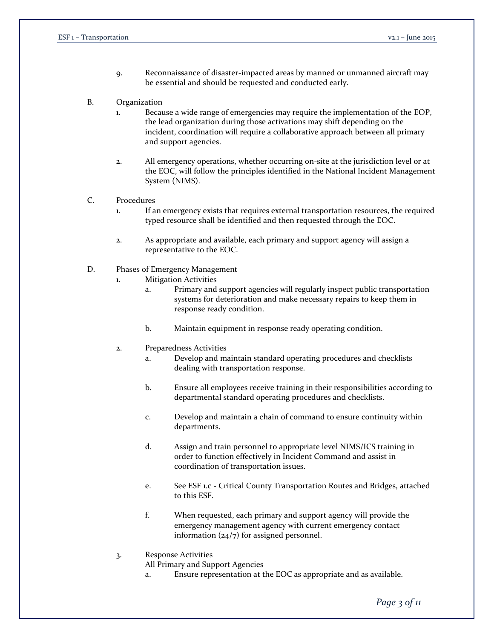- 9. Reconnaissance of disaster-impacted areas by manned or unmanned aircraft may be essential and should be requested and conducted early.
- B. Organization
	- 1. Because a wide range of emergencies may require the implementation of the EOP, the lead organization during those activations may shift depending on the incident, coordination will require a collaborative approach between all primary and support agencies.
	- 2. All emergency operations, whether occurring on-site at the jurisdiction level or at the EOC, will follow the principles identified in the National Incident Management System (NIMS).
- C. Procedures
	- 1. If an emergency exists that requires external transportation resources, the required typed resource shall be identified and then requested through the EOC.
	- 2. As appropriate and available, each primary and support agency will assign a representative to the EOC.
- D. Phases of Emergency Management
	- 1. Mitigation Activities
		- a. Primary and support agencies will regularly inspect public transportation systems for deterioration and make necessary repairs to keep them in response ready condition.
		- b. Maintain equipment in response ready operating condition.
	- 2. Preparedness Activities
		- a. Develop and maintain standard operating procedures and checklists dealing with transportation response.
		- b. Ensure all employees receive training in their responsibilities according to departmental standard operating procedures and checklists.
		- c. Develop and maintain a chain of command to ensure continuity within departments.
		- d. Assign and train personnel to appropriate level NIMS/ICS training in order to function effectively in Incident Command and assist in coordination of transportation issues.
		- e. See ESF 1.c Critical County Transportation Routes and Bridges, attached to this ESF.
		- f. When requested, each primary and support agency will provide the emergency management agency with current emergency contact information (24/7) for assigned personnel.
	- 3. Response Activities

All Primary and Support Agencies

a. Ensure representation at the EOC as appropriate and as available.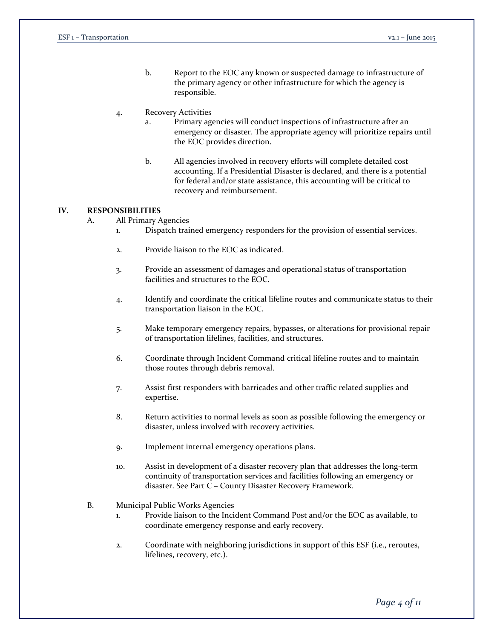b. Report to the EOC any known or suspected damage to infrastructure of the primary agency or other infrastructure for which the agency is responsible.

#### 4. Recovery Activities

- a. Primary agencies will conduct inspections of infrastructure after an emergency or disaster. The appropriate agency will prioritize repairs until the EOC provides direction.
- b. All agencies involved in recovery efforts will complete detailed cost accounting. If a Presidential Disaster is declared, and there is a potential for federal and/or state assistance, this accounting will be critical to recovery and reimbursement.

#### **IV. RESPONSIBILITIES**

- A. All Primary Agencies
	- 1. Dispatch trained emergency responders for the provision of essential services.
	- 2. Provide liaison to the EOC as indicated.
	- 3. Provide an assessment of damages and operational status of transportation facilities and structures to the EOC.
	- 4. Identify and coordinate the critical lifeline routes and communicate status to their transportation liaison in the EOC.
	- 5. Make temporary emergency repairs, bypasses, or alterations for provisional repair of transportation lifelines, facilities, and structures.
	- 6. Coordinate through Incident Command critical lifeline routes and to maintain those routes through debris removal.
	- 7. Assist first responders with barricades and other traffic related supplies and expertise.
	- 8. Return activities to normal levels as soon as possible following the emergency or disaster, unless involved with recovery activities.
	- 9. Implement internal emergency operations plans.
	- 10. Assist in development of a disaster recovery plan that addresses the long-term continuity of transportation services and facilities following an emergency or disaster. See Part C – County Disaster Recovery Framework.
- B. Municipal Public Works Agencies
	- 1. Provide liaison to the Incident Command Post and/or the EOC as available, to coordinate emergency response and early recovery.
	- 2. Coordinate with neighboring jurisdictions in support of this ESF (i.e., reroutes, lifelines, recovery, etc.).

*Page 4 of 11*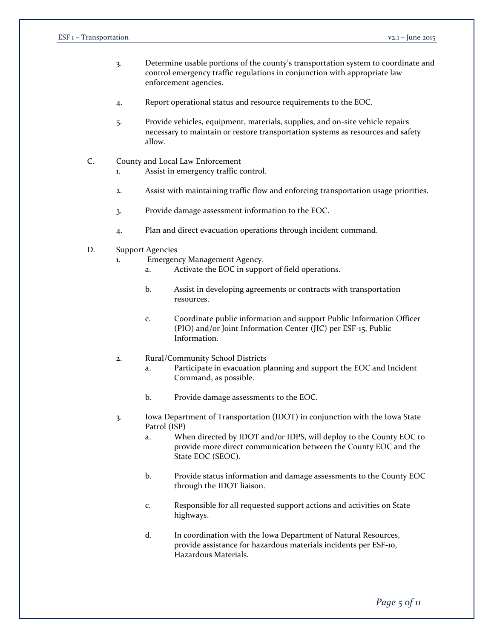- 3. Determine usable portions of the county's transportation system to coordinate and control emergency traffic regulations in conjunction with appropriate law enforcement agencies.
- 4. Report operational status and resource requirements to the EOC.
- 5. Provide vehicles, equipment, materials, supplies, and on-site vehicle repairs necessary to maintain or restore transportation systems as resources and safety allow.
- C. County and Local Law Enforcement
	- 1. Assist in emergency traffic control.
	- 2. Assist with maintaining traffic flow and enforcing transportation usage priorities.
	- 3. Provide damage assessment information to the EOC.
	- 4. Plan and direct evacuation operations through incident command.
- D. Support Agencies
	- 1. Emergency Management Agency.
		- a. Activate the EOC in support of field operations.
		- b. Assist in developing agreements or contracts with transportation resources.
		- c. Coordinate public information and support Public Information Officer (PIO) and/or Joint Information Center (JIC) per ESF-15, Public Information.
	- 2. Rural/Community School Districts
		- a. Participate in evacuation planning and support the EOC and Incident Command, as possible.
		- b. Provide damage assessments to the EOC.
	- 3. Iowa Department of Transportation (IDOT) in conjunction with the Iowa State Patrol (ISP)
		- a. When directed by IDOT and/or IDPS, will deploy to the County EOC to provide more direct communication between the County EOC and the State EOC (SEOC).
		- b. Provide status information and damage assessments to the County EOC through the IDOT liaison.
		- c. Responsible for all requested support actions and activities on State highways.
		- d. In coordination with the Iowa Department of Natural Resources, provide assistance for hazardous materials incidents per ESF-10, Hazardous Materials.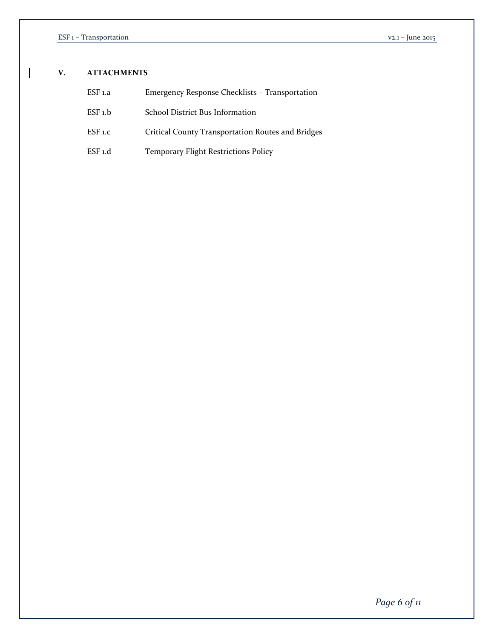$\mathbf{I}$ 

## **V. ATTACHMENTS**

| ESF 1.a | Emergency Response Checklists – Transportation    |
|---------|---------------------------------------------------|
| ESF 1.b | School District Bus Information                   |
| ESF 1.C | Critical County Transportation Routes and Bridges |
| ESF 1.d | <b>Temporary Flight Restrictions Policy</b>       |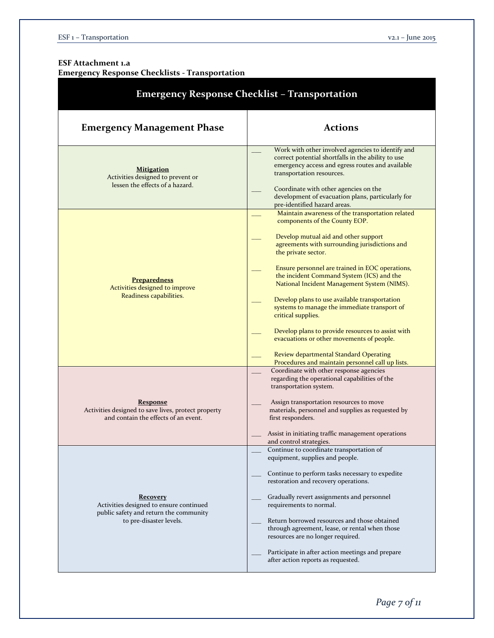## **ESF Attachment 1.a Emergency Response Checklists - Transportation**

| <b>Emergency Response Checklist - Transportation</b>                                                                            |                                                                                                                                                                                                                                                                                                                                                                                                                                                                                                                                                                                                                                                                         |  |  |  |  |  |
|---------------------------------------------------------------------------------------------------------------------------------|-------------------------------------------------------------------------------------------------------------------------------------------------------------------------------------------------------------------------------------------------------------------------------------------------------------------------------------------------------------------------------------------------------------------------------------------------------------------------------------------------------------------------------------------------------------------------------------------------------------------------------------------------------------------------|--|--|--|--|--|
| <b>Emergency Management Phase</b>                                                                                               | <b>Actions</b>                                                                                                                                                                                                                                                                                                                                                                                                                                                                                                                                                                                                                                                          |  |  |  |  |  |
| <b>Mitigation</b><br>Activities designed to prevent or<br>lessen the effects of a hazard.                                       | Work with other involved agencies to identify and<br>correct potential shortfalls in the ability to use<br>emergency access and egress routes and available<br>transportation resources.<br>Coordinate with other agencies on the<br>development of evacuation plans, particularly for<br>pre-identified hazard areas.                                                                                                                                                                                                                                                                                                                                                  |  |  |  |  |  |
| <b>Preparedness</b><br>Activities designed to improve<br>Readiness capabilities.                                                | Maintain awareness of the transportation related<br>components of the County EOP.<br>Develop mutual aid and other support<br>agreements with surrounding jurisdictions and<br>the private sector.<br>Ensure personnel are trained in EOC operations,<br>the incident Command System (ICS) and the<br>National Incident Management System (NIMS).<br>Develop plans to use available transportation<br>systems to manage the immediate transport of<br>critical supplies.<br>Develop plans to provide resources to assist with<br>evacuations or other movements of people.<br>Review departmental Standard Operating<br>Procedures and maintain personnel call up lists. |  |  |  |  |  |
| <b>Response</b><br>Activities designed to save lives, protect property<br>and contain the effects of an event.                  | Coordinate with other response agencies<br>regarding the operational capabilities of the<br>transportation system.<br>Assign transportation resources to move<br>materials, personnel and supplies as requested by<br>first responders.<br>Assist in initiating traffic management operations<br>and control strategies.                                                                                                                                                                                                                                                                                                                                                |  |  |  |  |  |
| <b>Recovery</b><br>Activities designed to ensure continued<br>public safety and return the community<br>to pre-disaster levels. | Continue to coordinate transportation of<br>equipment, supplies and people.<br>Continue to perform tasks necessary to expedite<br>restoration and recovery operations.<br>Gradually revert assignments and personnel<br>requirements to normal.<br>Return borrowed resources and those obtained<br>through agreement, lease, or rental when those<br>resources are no longer required.<br>Participate in after action meetings and prepare<br>after action reports as requested.                                                                                                                                                                                        |  |  |  |  |  |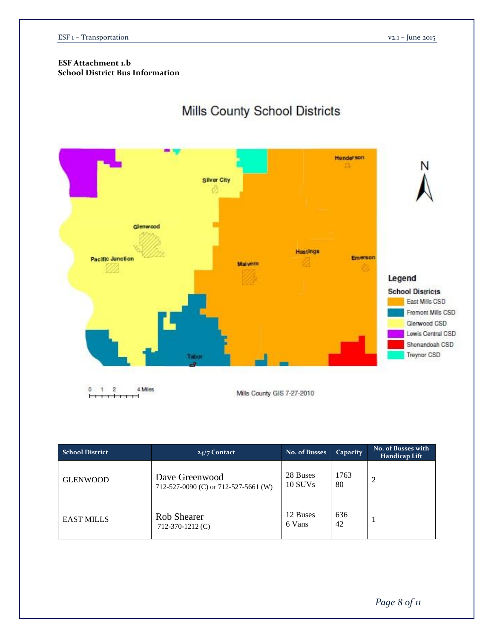## **ESF Attachment 1.b School District Bus Information**

# Mills County School Districts



| <b>School District</b> | $24/7$ Contact                                         | No. of Busses       | Capacity   | <b>No. of Busses with</b><br>Handicap Lift |
|------------------------|--------------------------------------------------------|---------------------|------------|--------------------------------------------|
| <b>GLENWOOD</b>        | Dave Greenwood<br>712-527-0090 (C) or 712-527-5661 (W) | 28 Buses<br>10 SUVs | 1763<br>80 | 2                                          |
| <b>EAST MILLS</b>      | <b>Rob Shearer</b><br>$712-370-1212$ (C)               | 12 Buses<br>6 Vans  | 636<br>42  |                                            |

*Page 8 of 11*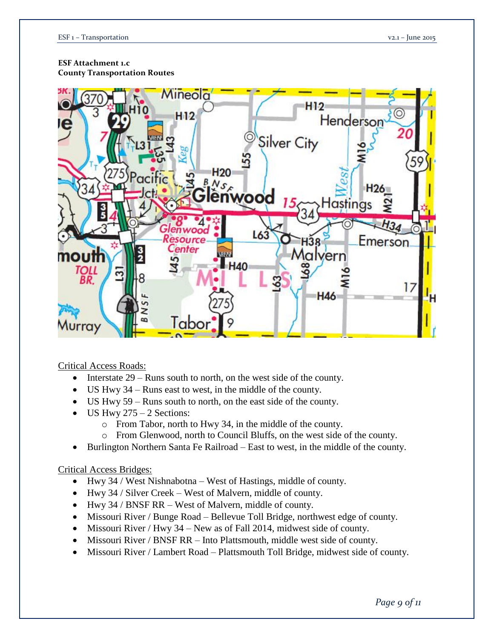## **ESF Attachment 1.c**

**County Transportation Routes**



Critical Access Roads:

- Interstate  $29 -$ Runs south to north, on the west side of the county.
- US Hwy 34 Runs east to west, in the middle of the county.
- US Hwy 59 Runs south to north, on the east side of the county.
- $\bullet$  US Hwy 275 2 Sections:
	- o From Tabor, north to Hwy 34, in the middle of the county.
	- o From Glenwood, north to Council Bluffs, on the west side of the county.
- Burlington Northern Santa Fe Railroad East to west, in the middle of the county.

## Critical Access Bridges:

- Hwy 34 / West Nishnabotna West of Hastings, middle of county.
- Hwy 34 / Silver Creek West of Malvern, middle of county.
- Hwy 34 / BNSF RR West of Malvern, middle of county.
- Missouri River / Bunge Road Bellevue Toll Bridge, northwest edge of county.
- $\bullet$  Missouri River / Hwy 34 New as of Fall 2014, midwest side of county.
- Missouri River / BNSF RR Into Plattsmouth, middle west side of county.
- Missouri River / Lambert Road Plattsmouth Toll Bridge, midwest side of county.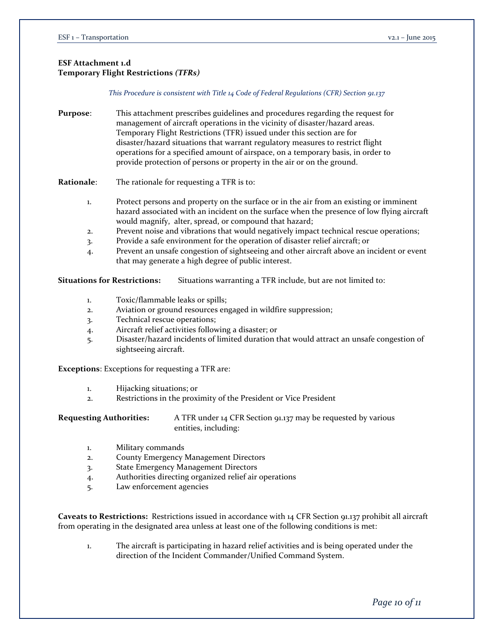## **ESF Attachment 1.d Temporary Flight Restrictions** *(TFRs)*

*This Procedure is consistent with Title 14 Code of Federal Regulations (CFR) Section 91.137*

**Purpose**: This attachment prescribes guidelines and procedures regarding the request for management of aircraft operations in the vicinity of disaster/hazard areas. Temporary Flight Restrictions (TFR) issued under this section are for disaster/hazard situations that warrant regulatory measures to restrict flight operations for a specified amount of airspace, on a temporary basis, in order to provide protection of persons or property in the air or on the ground.

**Rationale**: The rationale for requesting a TFR is to:

- 1. Protect persons and property on the surface or in the air from an existing or imminent hazard associated with an incident on the surface when the presence of low flying aircraft would magnify, alter, spread, or compound that hazard;
- 2. Prevent noise and vibrations that would negatively impact technical rescue operations;
- 3. Provide a safe environment for the operation of disaster relief aircraft; or
- 4. Prevent an unsafe congestion of sightseeing and other aircraft above an incident or event that may generate a high degree of public interest.

**Situations for Restrictions:** Situations warranting a TFR include, but are not limited to:

- 1. Toxic/flammable leaks or spills;
- 2. Aviation or ground resources engaged in wildfire suppression;
- 3. Technical rescue operations;
- 4. Aircraft relief activities following a disaster; or
- 5. Disaster/hazard incidents of limited duration that would attract an unsafe congestion of sightseeing aircraft.

**Exceptions**: Exceptions for requesting a TFR are:

- 1. Hijacking situations; or
- 2. Restrictions in the proximity of the President or Vice President

**Requesting Authorities:** A TFR under 14 CFR Section 91.137 may be requested by various entities, including:

- 1. Military commands
- 2. County Emergency Management Directors
- 3. State Emergency Management Directors
- 4. Authorities directing organized relief air operations
- 5. Law enforcement agencies

**Caveats to Restrictions:** Restrictions issued in accordance with 14 CFR Section 91.137 prohibit all aircraft from operating in the designated area unless at least one of the following conditions is met:

1. The aircraft is participating in hazard relief activities and is being operated under the direction of the Incident Commander/Unified Command System.

*Page 10 of 11*